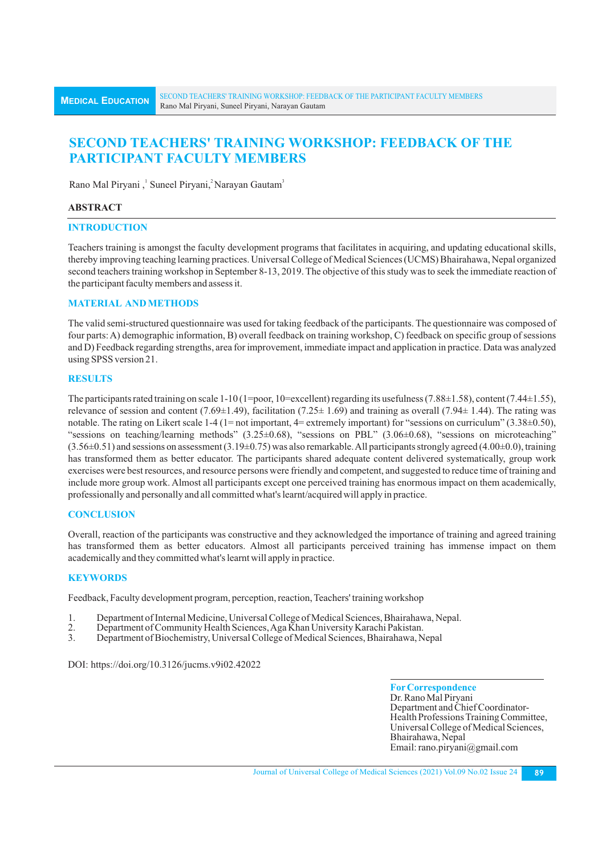# **SECOND TEACHERS' TRAINING WORKSHOP: FEEDBACK OF THE PARTICIPANT FACULTY MEMBERS**

Rano Mal Piryani, Suneel Piryani, Narayan Gautam<sup>3</sup>

## **ABSTRACT**

## **INTRODUCTION**

Teachers training is amongst the faculty development programs that facilitates in acquiring, and updating educational skills, thereby improving teaching learning practices. Universal College of Medical Sciences (UCMS) Bhairahawa, Nepal organized second teachers training workshop in September 8-13, 2019. The objective of this study was to seek the immediate reaction of the participant faculty members and assess it.

# **MATERIAL AND METHODS**

The valid semi-structured questionnaire was used for taking feedback of the participants. The questionnaire was composed of four parts: A) demographic information, B) overall feedback on training workshop, C) feedback on specific group of sessions and D) Feedback regarding strengths, area for improvement, immediate impact and application in practice. Data was analyzed using SPSS version 21.

## **RESULTS**

The participants rated training on scale 1-10 (1=poor, 10=excellent) regarding its usefulness (7.88±1.58), content (7.44±1.55), relevance of session and content (7.69 $\pm$ 1.49), facilitation (7.25 $\pm$  1.69) and training as overall (7.94 $\pm$  1.44). The rating was notable. The rating on Likert scale 1-4 (1= not important, 4= extremely important) for "sessions on curriculum" (3.38±0.50), "sessions on teaching/learning methods" (3.25±0.68), "sessions on PBL" (3.06±0.68), "sessions on microteaching"  $(3.56\pm0.51)$  and sessions on assessment  $(3.19\pm0.75)$  was also remarkable. All participants strongly agreed  $(4.00\pm0.0)$ , training has transformed them as better educator. The participants shared adequate content delivered systematically, group work exercises were best resources, and resource persons were friendly and competent, and suggested to reduce time of training and include more group work. Almost all participants except one perceived training has enormous impact on them academically, professionally and personally and all committed what's learnt/acquired will apply in practice.

# **CONCLUSION**

Overall, reaction of the participants was constructive and they acknowledged the importance of training and agreed training has transformed them as better educators. Almost all participants perceived training has immense impact on them academically and they committed what's learnt will apply in practice.

## **KEYWORDS**

Feedback, Faculty development program, perception, reaction, Teachers' training workshop

- 1. Department of Internal Medicine, Universal College of Medical Sciences, Bhairahawa, Nepal.
- 2. Department of Community Health Sciences, Aga Khan University Karachi Pakistan.
- 3. Department of Biochemistry, Universal College of Medical Sciences, Bhairahawa, Nepal

DOI: https://doi.org/10.3126/jucms.v9i02.42022

**ForCorrespondence** Dr. Rano Mal Piryani Department and Chief Coordinator-Health Professions Training Committee, Universal College of Medical Sciences, Bhairahawa, Nepal Email: rano.piryani@gmail.com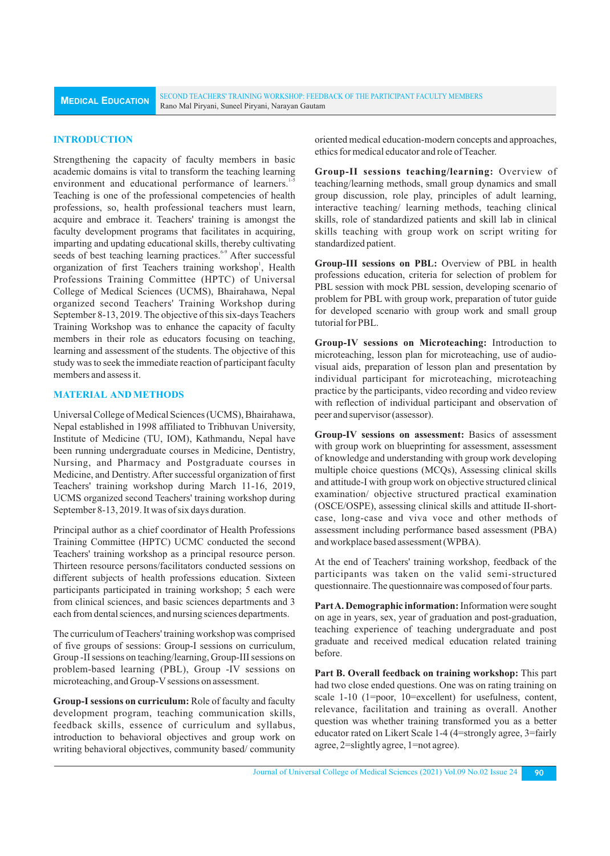## **INTRODUCTION**

Strengthening the capacity of faculty members in basic academic domains is vital to transform the teaching learning environment and educational performance of learners.<sup>1-5</sup> Teaching is one of the professional competencies of health professions, so, health professional teachers must learn, acquire and embrace it. Teachers' training is amongst the faculty development programs that facilitates in acquiring, imparting and updating educational skills, thereby cultivating seeds of best teaching learning practices.<sup>6-9</sup> After successful organization of first Teachers training workshop<sup>1</sup>, Health Professions Training Committee (HPTC) of Universal College of Medical Sciences (UCMS), Bhairahawa, Nepal organized second Teachers' Training Workshop during September 8-13, 2019. The objective of this six-days Teachers Training Workshop was to enhance the capacity of faculty members in their role as educators focusing on teaching, learning and assessment of the students. The objective of this study was to seek the immediate reaction of participant faculty members and assess it.

# **MATERIAL AND METHODS**

Universal College of Medical Sciences (UCMS), Bhairahawa, Nepal established in 1998 affiliated to Tribhuvan University, Institute of Medicine (TU, IOM), Kathmandu, Nepal have been running undergraduate courses in Medicine, Dentistry, Nursing, and Pharmacy and Postgraduate courses in Medicine, and Dentistry. After successful organization of first Teachers' training workshop during March 11-16, 2019, UCMS organized second Teachers' training workshop during September 8-13, 2019. It was of six days duration.

Principal author as a chief coordinator of Health Professions Training Committee (HPTC) UCMC conducted the second Teachers' training workshop as a principal resource person. Thirteen resource persons/facilitators conducted sessions on different subjects of health professions education. Sixteen participants participated in training workshop; 5 each were from clinical sciences, and basic sciences departments and 3 each from dental sciences, and nursing sciences departments.

The curriculum of Teachers' training workshop was comprised of five groups of sessions: Group-I sessions on curriculum, Group -II sessions on teaching/learning, Group-III sessions on problem-based learning (PBL), Group -IV sessions on microteaching, and Group-V sessions on assessment.

**Group-Isessions on curriculum:** Role of faculty and faculty development program, teaching communication skills, feedback skills, essence of curriculum and syllabus, introduction to behavioral objectives and group work on writing behavioral objectives, community based/ community

oriented medical education-modern concepts and approaches, ethics for medical educator and role of Teacher.

**Group-II sessions teaching/learning:** Overview of teaching/learning methods, small group dynamics and small group discussion, role play, principles of adult learning, interactive teaching/ learning methods, teaching clinical skills, role of standardized patients and skill lab in clinical skills teaching with group work on script writing for standardized patient.

**Group-III sessions on PBL:** Overview of PBL in health professions education, criteria for selection of problem for PBL session with mock PBL session, developing scenario of problem for PBL with group work, preparation of tutor guide for developed scenario with group work and small group tutorial for PBL.

**Group-IV sessions on Microteaching:** Introduction to microteaching, lesson plan for microteaching, use of audiovisual aids, preparation of lesson plan and presentation by individual participant for microteaching, microteaching practice by the participants, video recording and video review with reflection of individual participant and observation of peer and supervisor (assessor).

**Group-IV sessions on assessment:** Basics of assessment with group work on blueprinting for assessment, assessment of knowledge and understanding with group work developing multiple choice questions (MCQs), Assessing clinical skills and attitude-I with group work on objective structured clinical examination/ objective structured practical examination (OSCE/OSPE), assessing clinical skills and attitude II-shortcase, long-case and viva voce and other methods of assessment including performance based assessment (PBA) and workplace based assessment (WPBA).

At the end of Teachers' training workshop, feedback of the participants was taken on the valid semi-structured questionnaire. The questionnaire was composed of four parts.

**Part A. Demographic information:**Information were sought on age in years, sex, year of graduation and post-graduation, teaching experience of teaching undergraduate and post graduate and received medical education related training before.

**Part B. Overall feedback on training workshop:** This part had two close ended questions. One was on rating training on scale 1-10 (1=poor, 10=excellent) for usefulness, content, relevance, facilitation and training as overall. Another question was whether training transformed you as a better educator rated on Likert Scale 1-4 (4=strongly agree, 3=fairly agree, 2=slightly agree, 1=not agree).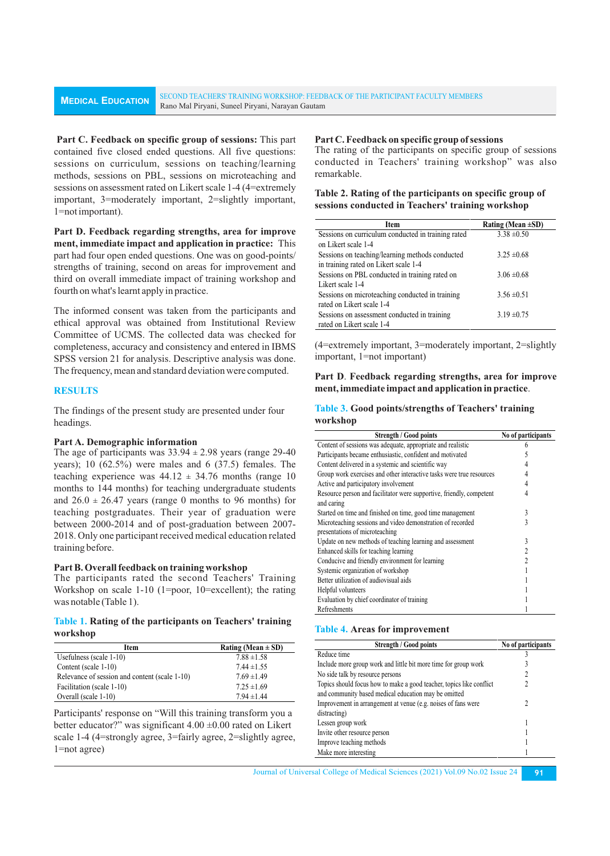**Part C. Feedback on specific group of sessions:** This part contained five closed ended questions. All five questions: sessions on curriculum, sessions on teaching/learning methods, sessions on PBL, sessions on microteaching and sessions on assessment rated on Likert scale 1-4 (4=extremely important, 3=moderately important, 2=slightly important, 1=not important).

**Part D. Feedback regarding strengths, area for improve ment, immediate impact and application in practice:** This part had four open ended questions. One was on good-points/ strengths of training, second on areas for improvement and third on overall immediate impact of training workshop and fourth on what's learnt apply in practice.

The informed consent was taken from the participants and ethical approval was obtained from Institutional Review Committee of UCMS. The collected data was checked for completeness, accuracy and consistency and entered in IBMS SPSS version 21 for analysis. Descriptive analysis was done. The frequency, mean and standard deviation were computed.

# **RESULTS**

The findings of the present study are presented under four headings.

## **Part A. Demographic information**

The age of participants was  $33.94 \pm 2.98$  years (range 29-40) years); 10 (62.5%) were males and 6 (37.5) females. The teaching experience was  $44.12 \pm 34.76$  months (range 10) months to 144 months) for teaching undergraduate students and  $26.0 \pm 26.47$  years (range 0 months to 96 months) for teaching postgraduates. Their year of graduation were between 2000-2014 and of post-graduation between 2007- 2018. Only one participant received medical education related training before.

#### **Part B. Overall feedback on training workshop**

The participants rated the second Teachers' Training Workshop on scale 1-10 (1=poor, 10=excellent); the rating was notable (Table 1).

### **Table 1. Rating of the participants on Teachers' training workshop**

| Item                                          | Rating (Mean $\pm$ SD) |
|-----------------------------------------------|------------------------|
| Usefulness (scale $1-10$ )                    | $7.88 \pm 1.58$        |
| Content (scale 1-10)                          | $7.44 \pm 1.55$        |
| Relevance of session and content (scale 1-10) | $7.69 \pm 1.49$        |
| Facilitation (scale 1-10)                     | $7.25 \pm 1.69$        |
| Overall (scale 1-10)                          | $7.94 \pm 1.44$        |

Participants' response on "Will this training transform you a better educator?" was significant  $4.00 \pm 0.00$  rated on Likert scale 1-4 (4=strongly agree, 3=fairly agree, 2=slightly agree, 1=not agree)

#### **Part C. Feedback on specific group of sessions**

The rating of the participants on specific group of sessions conducted in Teachers' training workshop" was also remarkable.

## **Table 2. Rating of the participants on specific group of sessions conducted in Teachers' training workshop**

| Item                                               | Rating (Mean $\pm SD$ ) |
|----------------------------------------------------|-------------------------|
| Sessions on curriculum conducted in training rated | $3.38 \pm 0.50$         |
| on Likert scale 1-4                                |                         |
| Sessions on teaching/learning methods conducted    | $3.25 \pm 0.68$         |
| in training rated on Likert scale 1-4              |                         |
| Sessions on PBL conducted in training rated on     | $3.06 \pm 0.68$         |
| Likert scale 1-4                                   |                         |
| Sessions on microteaching conducted in training    | $3.56 \pm 0.51$         |
| rated on Likert scale 1-4                          |                         |
| Sessions on assessment conducted in training       | $3.19 \pm 0.75$         |
| rated on Likert scale 1-4                          |                         |

(4=extremely important, 3=moderately important, 2=slightly important, 1=not important)

## **Part D**. **Feedback regarding strengths, area for improve ment, immediate impact and application in practice**.

### **Table 3. Good points/strengths of Teachers' training workshop**

| <b>Strength / Good points</b>                                        | No of participants |
|----------------------------------------------------------------------|--------------------|
| Content of sessions was adequate, appropriate and realistic          |                    |
| Participants became enthusiastic, confident and motivated            |                    |
| Content delivered in a systemic and scientific way                   |                    |
| Group work exercises and other interactive tasks were true resources |                    |
| Active and participatory involvement                                 |                    |
| Resource person and facilitator were supportive, friendly, competent | 4                  |
| and caring                                                           |                    |
| Started on time and finished on time, good time management           | 3                  |
| Microteaching sessions and video demonstration of recorded           | 3                  |
| presentations of microteaching                                       |                    |
| Update on new methods of teaching learning and assessment            | 3                  |
| Enhanced skills for teaching learning                                | 2                  |
| Conducive and friendly environment for learning                      | 2                  |
| Systemic organization of workshop                                    |                    |
| Better utilization of audiovisual aids                               |                    |
| Helpful volunteers                                                   |                    |
| Evaluation by chief coordinator of training                          |                    |
| Refreshments                                                         |                    |

#### **Table 4. Areas for improvement**

| <b>Strength / Good points</b>                                                                                                | No of participants |
|------------------------------------------------------------------------------------------------------------------------------|--------------------|
| Reduce time                                                                                                                  |                    |
| Include more group work and little bit more time for group work                                                              |                    |
| No side talk by resource persons                                                                                             | 2                  |
| Topics should focus how to make a good teacher, topics like conflict<br>and community based medical education may be omitted | 2                  |
| Improvement in arrangement at venue (e.g. noises of fans were<br>distracting)                                                | 7                  |
| Lessen group work                                                                                                            |                    |
| Invite other resource person                                                                                                 |                    |
| Improve teaching methods                                                                                                     |                    |
| Make more interesting                                                                                                        |                    |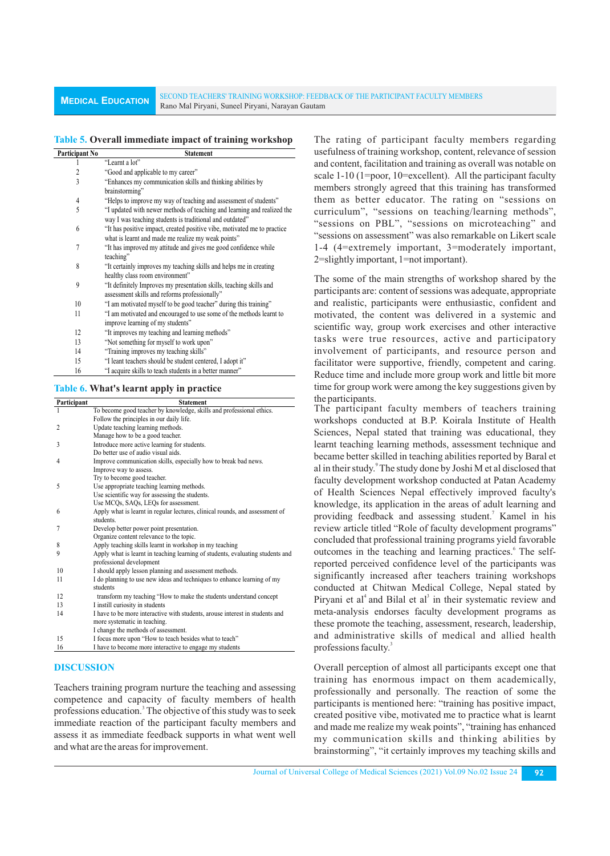# **Table 5. Overall immediate impact of training workshop**

| Participant No          | <b>Statement</b>                                                                                                                    |
|-------------------------|-------------------------------------------------------------------------------------------------------------------------------------|
| 1                       | "Learnt a lot"                                                                                                                      |
| 2                       | "Good and applicable to my career"                                                                                                  |
| $\overline{\mathbf{3}}$ | "Enhances my communication skills and thinking abilities by<br>brainstorming"                                                       |
| 4                       | "Helps to improve my way of teaching and assessment of students"                                                                    |
| 5                       | "I updated with newer methods of teaching and learning and realized the<br>way I was teaching students is traditional and outdated" |
| 6                       | "It has positive impact, created positive vibe, motivated me to practice<br>what is learnt and made me realize my weak points"      |
| 7                       | "It has improved my attitude and gives me good confidence while<br>teaching"                                                        |
| 8                       | "It certainly improves my teaching skills and helps me in creating<br>healthy class room environment"                               |
| 9                       | "It definitely Improves my presentation skills, teaching skills and<br>assessment skills and reforms professionally"                |
| 10                      | "I am motivated myself to be good teacher" during this training"                                                                    |
| 11                      | "I am motivated and encouraged to use some of the methods learnt to<br>improve learning of my students"                             |
| 12                      | "It improves my teaching and learning methods"                                                                                      |
| 13                      | "Not something for myself to work upon"                                                                                             |
| 14                      | "Training improves my teaching skills"                                                                                              |
| 15                      | "T loant topologic phont d ha student contenud. Ledont if"                                                                          |

- I leant teachers should be student centered, I adopt it
- 16 "I acquire skills to teach students in a better manner

#### **Table 6. What's learnt apply in practice**

| Participant | <b>Statement</b>                                                                                           |
|-------------|------------------------------------------------------------------------------------------------------------|
| 1           | To become good teacher by knowledge, skills and professional ethics.                                       |
|             | Follow the principles in our daily life.                                                                   |
| 2           | Update teaching learning methods.                                                                          |
|             | Manage how to be a good teacher.                                                                           |
| 3           | Introduce more active learning for students.                                                               |
|             | Do better use of audio visual aids.                                                                        |
| 4           | Improve communication skills, especially how to break bad news.                                            |
|             | Improve way to assess.                                                                                     |
|             | Try to become good teacher.                                                                                |
| 5           | Use appropriate teaching learning methods.                                                                 |
|             | Use scientific way for assessing the students.                                                             |
|             | Use MCQs, SAQs, LEQs for assessment.                                                                       |
| 6           | Apply what is learnt in regular lectures, clinical rounds, and assessment of                               |
|             | students.                                                                                                  |
| 7           | Develop better power point presentation.                                                                   |
|             | Organize content relevance to the topic.                                                                   |
| 8           | Apply teaching skills learnt in workshop in my teaching                                                    |
| 9           | Apply what is learnt in teaching learning of students, evaluating students and<br>professional development |
| 10          | I should apply lesson planning and assessment methods.                                                     |
| 11          | I do planning to use new ideas and techniques to enhance learning of my<br>students                        |
| 12          | transform my teaching "How to make the students understand concept                                         |
| 13          | I instill curiosity in students                                                                            |
| 14          | I have to be more interactive with students, arouse interest in students and                               |
|             | more systematic in teaching.                                                                               |
|             | I change the methods of assessment.                                                                        |
| 15          | I focus more upon "How to teach besides what to teach"                                                     |
| 16          | I have to become more interactive to engage my students                                                    |

## **DISCUSSION**

Teachers training program nurture the teaching and assessing competence and capacity of faculty members of health professions education.<sup>3</sup> The objective of this study was to seek immediate reaction of the participant faculty members and assess it as immediate feedback supports in what went well and what are the areas for improvement.

The rating of participant faculty members regarding usefulness of training workshop, content, relevance of session and content, facilitation and training as overall was notable on scale 1-10 (1=poor, 10=excellent). All the participant faculty members strongly agreed that this training has transformed them as better educator. The rating on "sessions on curriculum", "sessions on teaching/learning methods", "sessions on PBL", "sessions on microteaching" and "sessions on assessment" was also remarkable on Likert scale 1-4 (4=extremely important, 3=moderately important, 2=slightly important, 1=not important).

The some of the main strengths of workshop shared by the participants are: content of sessions was adequate, appropriate and realistic, participants were enthusiastic, confident and motivated, the content was delivered in a systemic and scientific way, group work exercises and other interactive tasks were true resources, active and participatory involvement of participants, and resource person and facilitator were supportive, friendly, competent and caring. Reduce time and include more group work and little bit more time for group work were among the key suggestions given by the participants.

The participant faculty members of teachers training workshops conducted at B.P. Koirala Institute of Health Sciences, Nepal stated that training was educational, they learnt teaching learning methods, assessment technique and became better skilled in teaching abilities reported by Baral et al in their study.<sup>9</sup> The study done by Joshi M et al disclosed that faculty development workshop conducted at Patan Academy of Health Sciences Nepal effectively improved faculty's knowledge, its application in the areas of adult learning and providing feedback and assessing student.<sup>7</sup> Kamel in his review article titled "Role of faculty development programs" concluded that professional training programs yield favorable outcomes in the teaching and learning practices.<sup>6</sup> The selfreported perceived confidence level of the participants was significantly increased after teachers training workshops conducted at Chitwan Medical College, Nepal stated by Piryani et al<sup>4</sup> and Bilal et al<sup>3</sup> in their systematic review and meta-analysis endorses faculty development programs as these promote the teaching, assessment, research, leadership, and administrative skills of medical and allied health professions faculty.<sup>3</sup>

Overall perception of almost all participants except one that training has enormous impact on them academically, professionally and personally. The reaction of some the participants is mentioned here: "training has positive impact, created positive vibe, motivated me to practice what is learnt and made me realize my weak points", "training has enhanced my communication skills and thinking abilities by brainstorming", "it certainly improves my teaching skills and